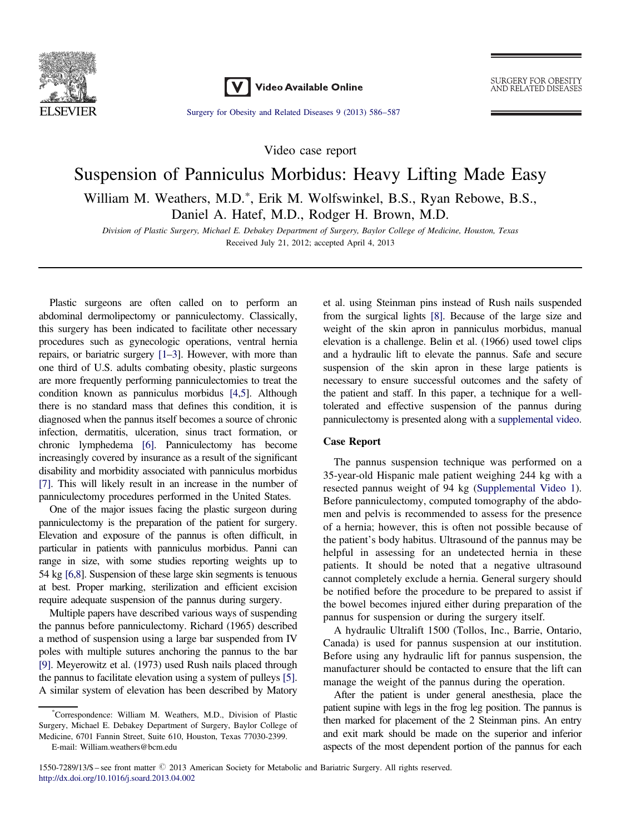

Video Available Online

**SURGERY FOR OBESITY** AND RELATED DISEASES

[Surgery for Obesity and Related Diseases 9 \(2013\) 586](dx.doi.org/10.1016/j.soard.2013.04.002)–587

Video case report

# Suspension of Panniculus Morbidus: Heavy Lifting Made Easy William M. Weathers, M.D.\*, Erik M. Wolfswinkel, B.S., Ryan Rebowe, B.S., Daniel A. Hatef, M.D., Rodger H. Brown, M.D.

Division of Plastic Surgery, Michael E. Debakey Department of Surgery, Baylor College of Medicine, Houston, Texas Received July 21, 2012; accepted April 4, 2013

Plastic surgeons are often called on to perform an abdominal dermolipectomy or panniculectomy. Classically, this surgery has been indicated to facilitate other necessary procedures such as gynecologic operations, ventral hernia repairs, or bariatric surgery [\[1](#page-1-0)–[3\]](#page-1-0). However, with more than one third of U.S. adults combating obesity, plastic surgeons are more frequently performing panniculectomies to treat the condition known as panniculus morbidus [\[4,5](#page-1-0)]. Although there is no standard mass that defines this condition, it is diagnosed when the pannus itself becomes a source of chronic infection, dermatitis, ulceration, sinus tract formation, or chronic lymphedema [\[6\].](#page-1-0) Panniculectomy has become increasingly covered by insurance as a result of the significant disability and morbidity associated with panniculus morbidus [\[7\].](#page-1-0) This will likely result in an increase in the number of panniculectomy procedures performed in the United States.

One of the major issues facing the plastic surgeon during panniculectomy is the preparation of the patient for surgery. Elevation and exposure of the pannus is often difficult, in particular in patients with panniculus morbidus. Panni can range in size, with some studies reporting weights up to 54 kg [\[6,8](#page-1-0)]. Suspension of these large skin segments is tenuous at best. Proper marking, sterilization and efficient excision require adequate suspension of the pannus during surgery.

Multiple papers have described various ways of suspending the pannus before panniculectomy. Richard (1965) described a method of suspension using a large bar suspended from IV poles with multiple sutures anchoring the pannus to the bar [\[9\].](#page-1-0) Meyerowitz et al. (1973) used Rush nails placed through the pannus to facilitate elevation using a system of pulleys [\[5\]](#page-1-0). A similar system of elevation has been described by Matory et al. using Steinman pins instead of Rush nails suspended from the surgical lights [\[8\].](#page-1-0) Because of the large size and weight of the skin apron in panniculus morbidus, manual elevation is a challenge. Belin et al. (1966) used towel clips and a hydraulic lift to elevate the pannus. Safe and secure suspension of the skin apron in these large patients is necessary to ensure successful outcomes and the safety of the patient and staff. In this paper, a technique for a welltolerated and effective suspension of the pannus during panniculectomy is presented along with a [supplemental video.](#page-1-0)

## Case Report

The pannus suspension technique was performed on a 35-year-old Hispanic male patient weighing 244 kg with a resected pannus weight of 94 kg ([Supplemental Video 1](#page-1-0)). Before panniculectomy, computed tomography of the abdomen and pelvis is recommended to assess for the presence of a hernia; however, this is often not possible because of the patient's body habitus. Ultrasound of the pannus may be helpful in assessing for an undetected hernia in these patients. It should be noted that a negative ultrasound cannot completely exclude a hernia. General surgery should be notified before the procedure to be prepared to assist if the bowel becomes injured either during preparation of the pannus for suspension or during the surgery itself.

A hydraulic Ultralift 1500 (Tollos, Inc., Barrie, Ontario, Canada) is used for pannus suspension at our institution. Before using any hydraulic lift for pannus suspension, the manufacturer should be contacted to ensure that the lift can manage the weight of the pannus during the operation.

After the patient is under general anesthesia, place the patient supine with legs in the frog leg position. The pannus is then marked for placement of the 2 Steinman pins. An entry and exit mark should be made on the superior and inferior aspects of the most dependent portion of the pannus for each

<sup>\*</sup> Correspondence: William M. Weathers, M.D., Division of Plastic Surgery, Michael E. Debakey Department of Surgery, Baylor College of Medicine, 6701 Fannin Street, Suite 610, Houston, Texas 77030-2399. E-mail: [William.weathers@bcm.edu](mailto:William.weathers@bcm.edu)

<sup>1550-7289/13/\$ –</sup> see front matter  $\odot$  2013 American Society for Metabolic and Bariatric Surgery. All rights reserved. [http://dx.doi.org/10.1016/j.soard.2013.04.002](dx.doi.org/10.1016/j.soard.2013.04.002)